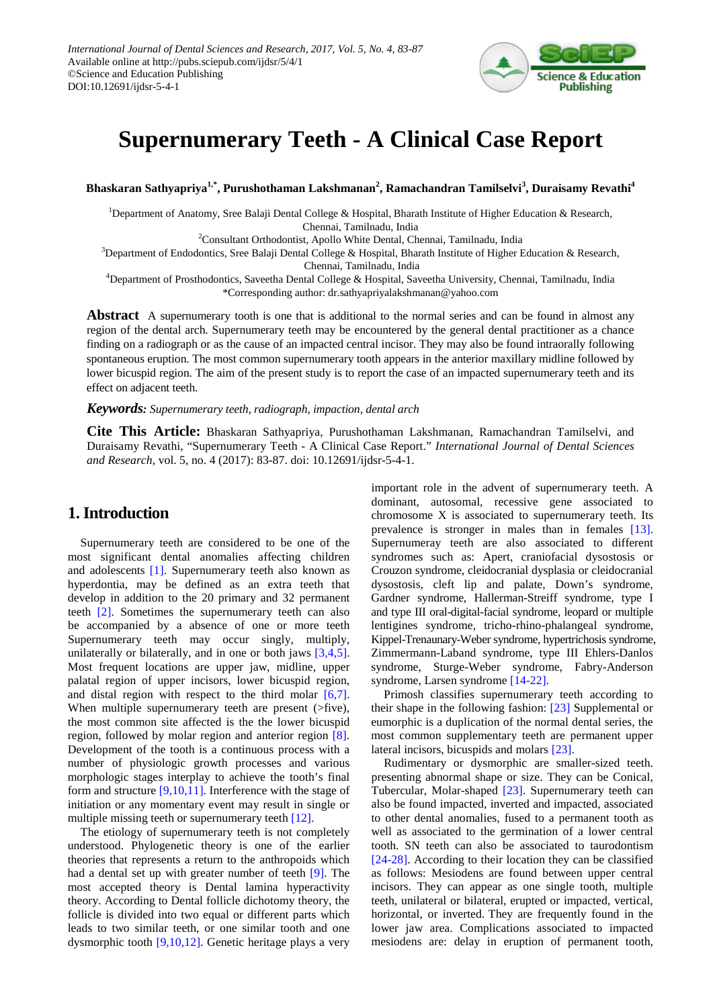

# **Supernumerary Teeth - A Clinical Case Report**

**Bhaskaran Sathyapriya1,\*, Purushothaman Lakshmanan<sup>2</sup> , Ramachandran Tamilselvi<sup>3</sup> , Duraisamy Revathi4**

<sup>1</sup>Department of Anatomy, Sree Balaji Dental College & Hospital, Bharath Institute of Higher Education & Research, Chennai, Tamilnadu, India

<sup>2</sup>Consultant Orthodontist, Apollo White Dental, Chennai, Tamilnadu, India

3 Department of Endodontics, Sree Balaji Dental College & Hospital, Bharath Institute of Higher Education & Research, Chennai, Tamilnadu, India

4 Department of Prosthodontics, Saveetha Dental College & Hospital, Saveetha University, Chennai, Tamilnadu, India \*Corresponding author: dr.sathyapriyalakshmanan@yahoo.com

**Abstract** A supernumerary tooth is one that is additional to the normal series and can be found in almost any region of the dental arch. Supernumerary teeth may be encountered by the general dental practitioner as a chance finding on a radiograph or as the cause of an impacted central incisor. They may also be found intraorally following spontaneous eruption. The most common supernumerary tooth appears in the anterior maxillary midline followed by lower bicuspid region. The aim of the present study is to report the case of an impacted supernumerary teeth and its effect on adjacent teeth.

*Keywords: Supernumerary teeth, radiograph, impaction, dental arch*

**Cite This Article:** Bhaskaran Sathyapriya, Purushothaman Lakshmanan, Ramachandran Tamilselvi, and Duraisamy Revathi, "Supernumerary Teeth - A Clinical Case Report." *International Journal of Dental Sciences and Research*, vol. 5, no. 4 (2017): 83-87. doi: 10.12691/ijdsr-5-4-1.

# **1.Introduction**

Supernumerary teeth are considered to be one of the most significant dental anomalies affecting children and adolescents [\[1\].](#page-3-0) Supernumerary teeth also known as hyperdontia, may be defined as an extra teeth that develop in addition to the 20 primary and 32 permanent teeth [\[2\].](#page-3-1) Sometimes the supernumerary teeth can also be accompanied by a absence of one or more teeth Supernumerary teeth may occur singly, multiply, unilaterally or bilaterally, and in one or both jaws [\[3,4,5\].](#page-3-2) Most frequent locations are upper jaw, midline, upper palatal region of upper incisors, lower bicuspid region, and distal region with respect to the third molar [\[6,7\].](#page-3-3) When multiple supernumerary teeth are present ( $>$ five), the most common site affected is the the lower bicuspid region, followed by molar region and anterior region [\[8\].](#page-3-4) Development of the tooth is a continuous process with a number of physiologic growth processes and various morphologic stages interplay to achieve the tooth's final form and structure  $[9,10,11]$ . Interference with the stage of initiation or any momentary event may result in single or multiple missing teeth or supernumerary teeth [\[12\].](#page-3-6)

The etiology of supernumerary teeth is not completely understood. Phylogenetic theory is one of the earlier theories that represents a return to the anthropoids which had a dental set up with greater number of teeth [\[9\].](#page-3-5) The most accepted theory is Dental lamina hyperactivity theory. According to Dental follicle dichotomy theory, the follicle is divided into two equal or different parts which leads to two similar teeth, or one similar tooth and one dysmorphic tooth [\[9,10,12\].](#page-3-5) Genetic heritage plays a very important role in the advent of supernumerary teeth. A dominant, autosomal, recessive gene associated to chromosome X is associated to supernumerary teeth. Its prevalence is stronger in males than in females [\[13\].](#page-3-7) Supernumeray teeth are also associated to different syndromes such as: Apert, craniofacial dysostosis or Crouzon syndrome, cleidocranial dysplasia or cleidocranial dysostosis, cleft lip and palate, Down's syndrome, Gardner syndrome, Hallerman-Streiff syndrome, type I and type III oral-digital-facial syndrome, leopard or multiple lentigines syndrome, tricho-rhino-phalangeal syndrome, Kippel-Trenaunary-Weber syndrome, hypertrichosis syndrome, Zimmermann-Laband syndrome, type III Ehlers-Danlos syndrome, Sturge-Weber syndrome, Fabry-Anderson syndrome, Larsen syndrome [\[14-22\].](#page-4-0)

Primosh classifies supernumerary teeth according to their shape in the following fashion: [\[23\]](#page-4-1) Supplemental or eumorphic is a duplication of the normal dental series, the most common supplementary teeth are permanent upper lateral incisors, bicuspids and molars [\[23\].](#page-4-1)

Rudimentary or dysmorphic are smaller-sized teeth. presenting abnormal shape or size. They can be Conical, Tubercular, Molar-shaped [\[23\].](#page-4-1) Supernumerary teeth can also be found impacted, inverted and impacted, associated to other dental anomalies, fused to a permanent tooth as well as associated to the germination of a lower central tooth. SN teeth can also be associated to taurodontism [\[24-28\].](#page-4-2) According to their location they can be classified as follows: Mesiodens are found between upper central incisors. They can appear as one single tooth, multiple teeth, unilateral or bilateral, erupted or impacted, vertical, horizontal, or inverted. They are frequently found in the lower jaw area. Complications associated to impacted mesiodens are: delay in eruption of permanent tooth,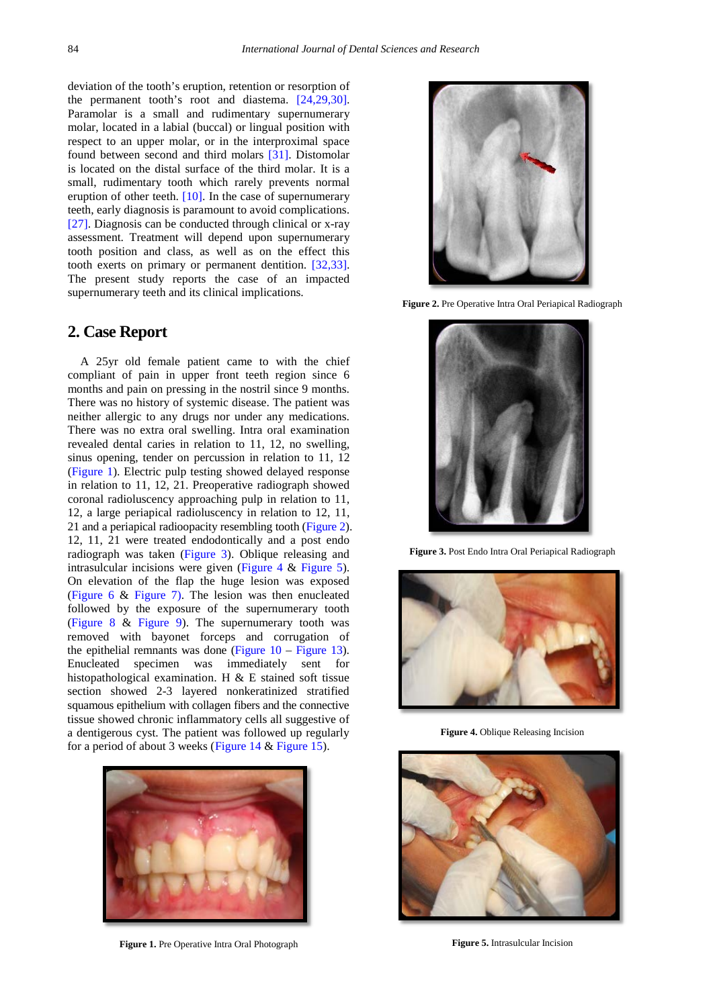deviation of the tooth's eruption, retention or resorption of the permanent tooth's root and diastema. [\[24,29,30\].](#page-4-2) Paramolar is a small and rudimentary supernumerary molar, located in a labial (buccal) or lingual position with respect to an upper molar, or in the interproximal space found between second and third molars [\[31\].](#page-4-3) Distomolar is located on the distal surface of the third molar. It is a small, rudimentary tooth which rarely prevents normal eruption of other teeth.  $[10]$ . In the case of supernumerary teeth, early diagnosis is paramount to avoid complications. [\[27\].](#page-4-4) Diagnosis can be conducted through clinical or x-ray assessment. Treatment will depend upon supernumerary tooth position and class, as well as on the effect this tooth exerts on primary or permanent dentition. [\[32,33\].](#page-4-5) The present study reports the case of an impacted supernumerary teeth and its clinical implications.

#### **2. Case Report**

A 25yr old female patient came to with the chief compliant of pain in upper front teeth region since 6 months and pain on pressing in the nostril since 9 months. There was no history of systemic disease. The patient was neither allergic to any drugs nor under any medications. There was no extra oral swelling. Intra oral examination revealed dental caries in relation to 11, 12, no swelling, sinus opening, tender on percussion in relation to 11, 12 [\(Figure 1\)](#page-1-0). Electric pulp testing showed delayed response in relation to 11, 12, 21. Preoperative radiograph showed coronal radioluscency approaching pulp in relation to 11, 12, a large periapical radioluscency in relation to 12, 11, 21 and a periapical radioopacity resembling tooth [\(Figure 2\)](#page-1-1). 12, 11, 21 were treated endodontically and a post endo radiograph was taken [\(Figure 3\)](#page-1-2). Oblique releasing and intrasulcular incisions were given [\(Figure 4](#page-1-3) & [Figure 5\)](#page-1-4). On elevation of the flap the huge lesion was exposed [\(Figure 6](#page-2-0) & [Figure 7\).](#page-2-1) The lesion was then enucleated followed by the exposure of the supernumerary tooth [\(Figure 8](#page-2-2) & [Figure 9\)](#page-2-3). The supernumerary tooth was removed with bayonet forceps and corrugation of the epithelial remnants was done (Figure  $10 -$  [Figure 13\)](#page-2-5). Enucleated specimen was immediately sent for histopathological examination. H & E stained soft tissue section showed 2-3 layered nonkeratinized stratified squamous epithelium with collagen fibers and the connective tissue showed chronic inflammatory cells all suggestive of a dentigerous cyst. The patient was followed up regularly for a period of about 3 weeks [\(Figure 14](#page-3-9) & [Figure 15\)](#page-3-10).

<span id="page-1-0"></span>

**Figure 1.** Pre Operative Intra Oral Photograph

<span id="page-1-1"></span>

**Figure 2.** Pre Operative Intra Oral Periapical Radiograph

<span id="page-1-2"></span>

**Figure 3.** Post Endo Intra Oral Periapical Radiograph

<span id="page-1-3"></span>

**Figure 4.** Oblique Releasing Incision

<span id="page-1-4"></span>

**Figure 5.** Intrasulcular Incision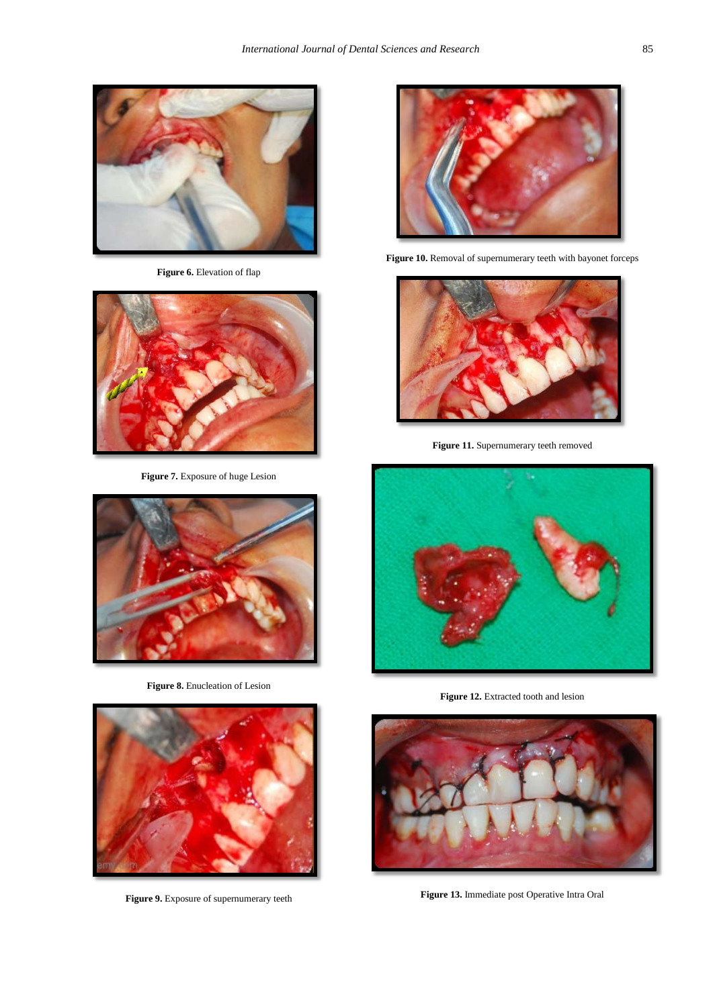<span id="page-2-0"></span>

**Figure 6.** Elevation of flap

<span id="page-2-1"></span>

**Figure 7.** Exposure of huge Lesion

<span id="page-2-2"></span>

**Figure 8.** Enucleation of Lesion

<span id="page-2-3"></span>

**Figure 9.** Exposure of supernumerary teeth

<span id="page-2-4"></span>

**Figure 10.** Removal of supernumerary teeth with bayonet forceps



**Figure 11.** Supernumerary teeth removed



**Figure 12.** Extracted tooth and lesion

<span id="page-2-5"></span>

**Figure 13.** Immediate post Operative Intra Oral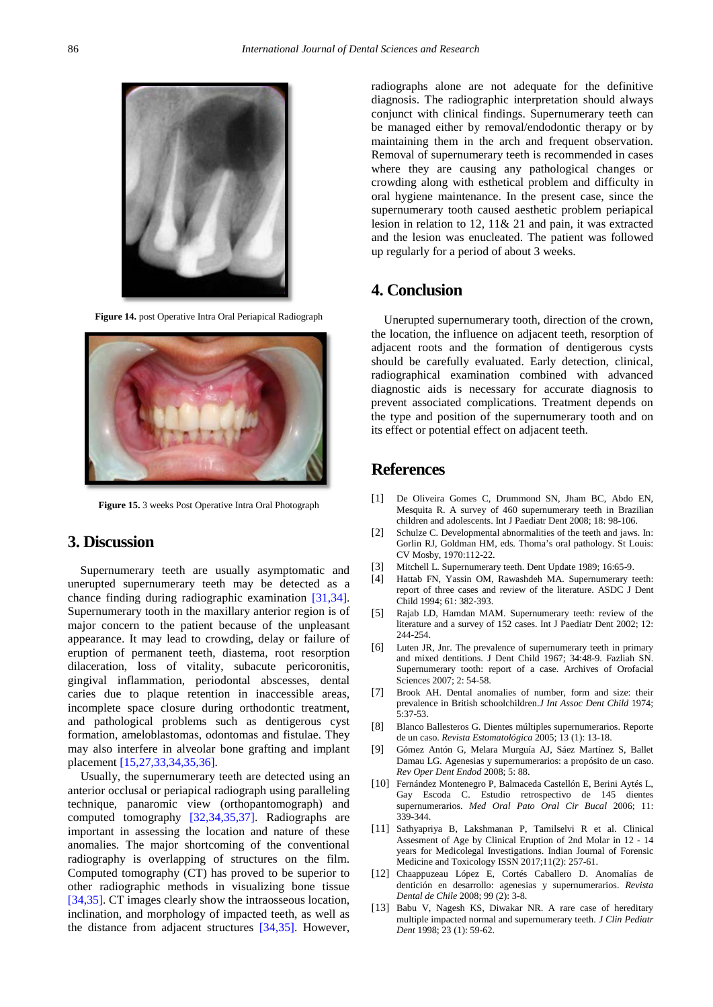<span id="page-3-9"></span>

**Figure 14.** post Operative Intra Oral Periapical Radiograph

<span id="page-3-10"></span>

**Figure 15.** 3 weeks Post Operative Intra Oral Photograph

## **3. Discussion**

Supernumerary teeth are usually asymptomatic and unerupted supernumerary teeth may be detected as a chance finding during radiographic examination [\[31,34\].](#page-4-3) Supernumerary tooth in the maxillary anterior region is of major concern to the patient because of the unpleasant appearance. It may lead to crowding, delay or failure of eruption of permanent teeth, diastema, root resorption dilaceration, loss of vitality, subacute pericoronitis, gingival inflammation, periodontal abscesses, dental caries due to plaque retention in inaccessible areas, incomplete space closure during orthodontic treatment, and pathological problems such as dentigerous cyst formation, ameloblastomas, odontomas and fistulae. They may also interfere in alveolar bone grafting and implant placement [\[15,27,33,34,35,36\].](#page-4-6)

Usually, the supernumerary teeth are detected using an anterior occlusal or periapical radiograph using paralleling technique, panaromic view (orthopantomograph) and computed tomography [\[32,34,35,37\].](#page-4-5) Radiographs are important in assessing the location and nature of these anomalies. The major shortcoming of the conventional radiography is overlapping of structures on the film. Computed tomography (CT) has proved to be superior to other radiographic methods in visualizing bone tissue [\[34,35\].](#page-4-7) CT images clearly show the intraosseous location, inclination, and morphology of impacted teeth, as well as the distance from adjacent structures [\[34,35\].](#page-4-7) However, radiographs alone are not adequate for the definitive diagnosis. The radiographic interpretation should always conjunct with clinical findings. Supernumerary teeth can be managed either by removal/endodontic therapy or by maintaining them in the arch and frequent observation. Removal of supernumerary teeth is recommended in cases where they are causing any pathological changes or crowding along with esthetical problem and difficulty in oral hygiene maintenance. In the present case, since the supernumerary tooth caused aesthetic problem periapical lesion in relation to 12, 11& 21 and pain, it was extracted and the lesion was enucleated. The patient was followed up regularly for a period of about 3 weeks.

### **4. Conclusion**

Unerupted supernumerary tooth, direction of the crown, the location, the influence on adjacent teeth, resorption of adjacent roots and the formation of dentigerous cysts should be carefully evaluated. Early detection, clinical, radiographical examination combined with advanced diagnostic aids is necessary for accurate diagnosis to prevent associated complications. Treatment depends on the type and position of the supernumerary tooth and on its effect or potential effect on adjacent teeth.

#### **References**

- <span id="page-3-0"></span>[1] De Oliveira Gomes C, Drummond SN, Jham BC, Abdo EN, Mesquita R. A survey of 460 supernumerary teeth in Brazilian children and adolescents. Int J Paediatr Dent 2008; 18: 98-106.
- <span id="page-3-1"></span>[2] Schulze C. Developmental abnormalities of the teeth and jaws. In: Gorlin RJ, Goldman HM, eds. Thoma's oral pathology. St Louis: CV Mosby, 1970:112-22.
- <span id="page-3-2"></span>[3] Mitchell L. Supernumerary teeth. Dent Update 1989; 16:65-9.
- [4] Hattab FN, Yassin OM, Rawashdeh MA. Supernumerary teeth: report of three cases and review of the literature. ASDC J Dent Child 1994; 61: 382-393.
- [5] Rajab LD, Hamdan MAM. Supernumerary teeth: review of the literature and a survey of 152 cases. Int J Paediatr Dent 2002; 12: 244-254.
- <span id="page-3-3"></span>[6] Luten JR, Jnr. The prevalence of supernumerary teeth in primary and mixed dentitions. J Dent Child 1967; 34:48-9. Fazliah SN. Supernumerary tooth: report of a case. Archives of Orofacial Sciences 2007; 2: 54-58.
- [7] Brook AH. Dental anomalies of number, form and size: their prevalence in British schoolchildren.*J Int Assoc Dent Child* 1974; 5:37-53.
- <span id="page-3-4"></span>[8] Blanco Ballesteros G. Dientes múltiples supernumerarios. Reporte de un caso. *Revista Estomatológica* 2005; 13 (1): 13-18.
- <span id="page-3-5"></span>[9] Gómez Antón G, Melara Murguía AJ, Sáez Martínez S, Ballet Damau LG. Agenesias y supernumerarios: a propósito de un caso. *Rev Oper Dent Endod* 2008; 5: 88.
- <span id="page-3-8"></span>[10] Fernández Montenegro P, Balmaceda Castellón E, Berini Aytés L, Gay Escoda C. Estudio retrospectivo de 145 dientes supernumerarios. *Med Oral Pato Oral Cir Bucal* 2006; 11: 339-344.
- [11] Sathyapriya B, Lakshmanan P, Tamilselvi R et al. Clinical Assesment of Age by Clinical Eruption of 2nd Molar in 12 - 14 years for Medicolegal Investigations. Indian Journal of Forensic Medicine and Toxicology ISSN 2017;11(2): 257-61.
- <span id="page-3-6"></span>[12] Chaappuzeau López E, Cortés Caballero D. Anomalías de dentición en desarrollo: agenesias y supernumerarios. *Revista Dental de Chile* 2008; 99 (2): 3-8.
- <span id="page-3-7"></span>[13] Babu V, Nagesh KS, Diwakar NR. A rare case of hereditary multiple impacted normal and supernumerary teeth. *J Clin Pediatr Dent* 1998; 23 (1): 59-62.